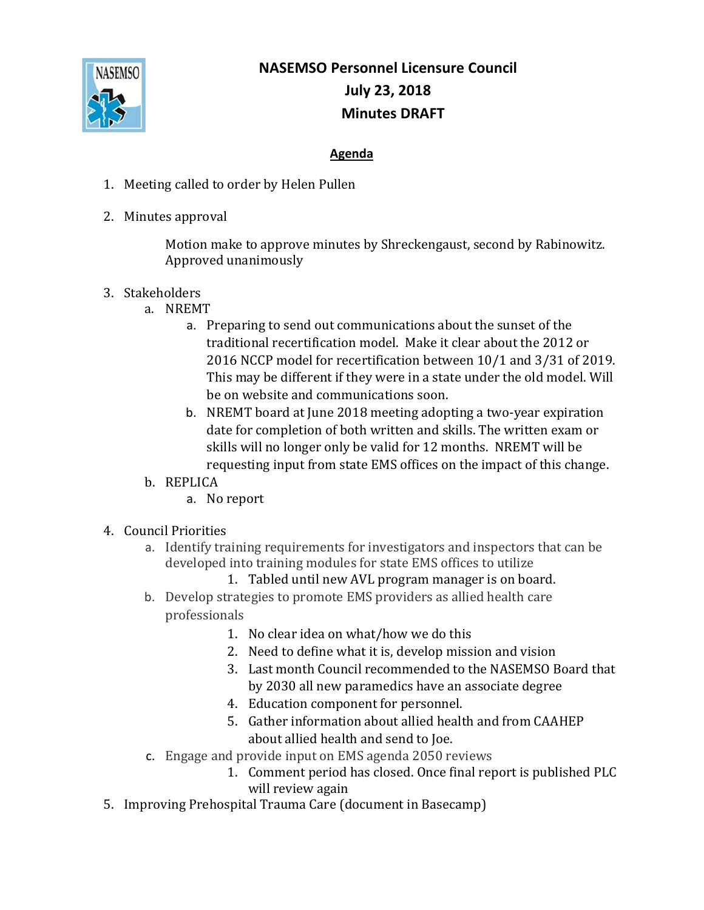

## **NASEMSO Personnel Licensure Council July 23, 2018 Minutes DRAFT**

## **Agenda**

- 1. Meeting called to order by Helen Pullen
- 2. Minutes approval

Motion make to approve minutes by Shreckengaust, second by Rabinowitz. Approved unanimously

- 3. Stakeholders
	- a. NREMT
		- a. Preparing to send out communications about the sunset of the traditional recertification model. Make it clear about the 2012 or 2016 NCCP model for recertification between 10/1 and 3/31 of 2019. This may be different if they were in a state under the old model. Will be on website and communications soon.
		- b. NREMT board at June 2018 meeting adopting a two-year expiration date for completion of both written and skills. The written exam or skills will no longer only be valid for 12 months. NREMT will be requesting input from state EMS offices on the impact of this change.
	- b. REPLICA
		- a. No report
- 4. Council Priorities
	- a. Identify training requirements for investigators and inspectors that can be developed into training modules for state EMS offices to utilize
		- 1. Tabled until new AVL program manager is on board.
	- b. Develop strategies to promote EMS providers as allied health care professionals
		- 1. No clear idea on what/how we do this
		- 2. Need to define what it is, develop mission and vision
		- 3. Last month Council recommended to the NASEMSO Board that by 2030 all new paramedics have an associate degree
		- 4. Education component for personnel.
		- 5. Gather information about allied health and from CAAHEP about allied health and send to Joe.
	- c. Engage and provide input on EMS agenda 2050 reviews
		- 1. Comment period has closed. Once final report is published PLC will review again
- 5. Improving Prehospital Trauma Care (document in Basecamp)